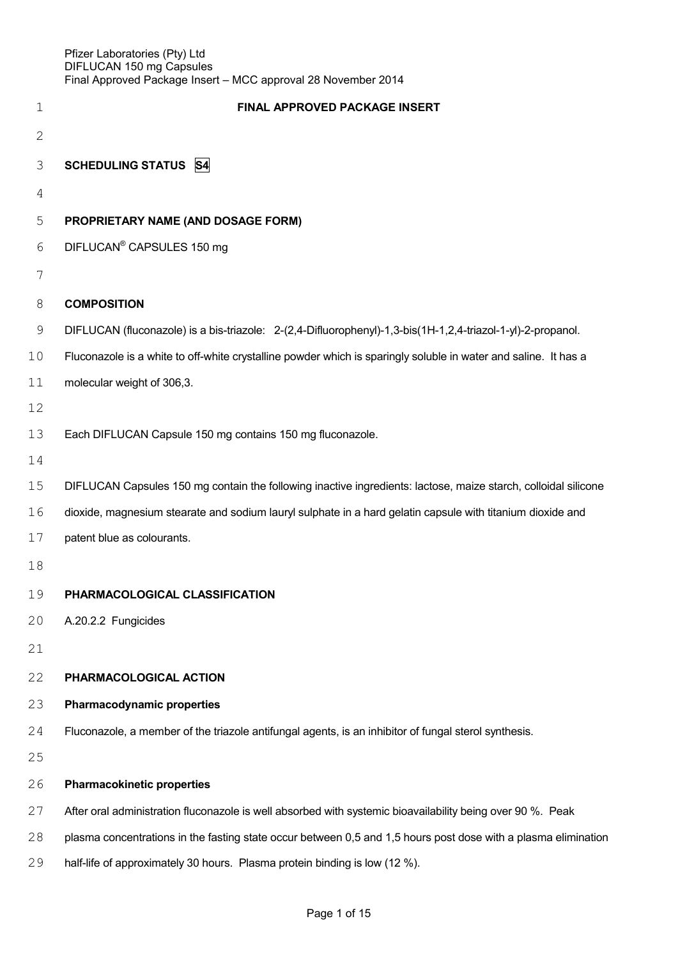| $\mathbf 1$  | FINAL APPROVED PACKAGE INSERT                                                                                   |
|--------------|-----------------------------------------------------------------------------------------------------------------|
| $\mathbf{2}$ |                                                                                                                 |
| 3            | <b>SCHEDULING STATUS S4</b>                                                                                     |
| 4            |                                                                                                                 |
| 5            | PROPRIETARY NAME (AND DOSAGE FORM)                                                                              |
| 6            | DIFLUCAN <sup>®</sup> CAPSULES 150 mg                                                                           |
| 7            |                                                                                                                 |
| 8            | <b>COMPOSITION</b>                                                                                              |
| 9            | DIFLUCAN (fluconazole) is a bis-triazole: 2-(2,4-Difluorophenyl)-1,3-bis(1H-1,2,4-triazol-1-yl)-2-propanol.     |
| 10           | Fluconazole is a white to off-white crystalline powder which is sparingly soluble in water and saline. It has a |
| 11           | molecular weight of 306,3.                                                                                      |
| 12           |                                                                                                                 |
| 13           | Each DIFLUCAN Capsule 150 mg contains 150 mg fluconazole.                                                       |
| 14           |                                                                                                                 |
| 15           | DIFLUCAN Capsules 150 mg contain the following inactive ingredients: lactose, maize starch, colloidal silicone  |
| 16           | dioxide, magnesium stearate and sodium lauryl sulphate in a hard gelatin capsule with titanium dioxide and      |
| 17           | patent blue as colourants.                                                                                      |
| 18           |                                                                                                                 |
| 19           | PHARMACOLOGICAL CLASSIFICATION                                                                                  |
| 20           | A.20.2.2 Fungicides                                                                                             |
| 21           |                                                                                                                 |
| 22           | PHARMACOLOGICAL ACTION                                                                                          |
| 23           | <b>Pharmacodynamic properties</b>                                                                               |
| 24           | Fluconazole, a member of the triazole antifungal agents, is an inhibitor of fungal sterol synthesis.            |
| 25           |                                                                                                                 |
| 26           | <b>Pharmacokinetic properties</b>                                                                               |
| 27           | After oral administration fluconazole is well absorbed with systemic bioavailability being over 90 %. Peak      |
| 28           | plasma concentrations in the fasting state occur between 0,5 and 1,5 hours post dose with a plasma elimination  |

half-life of approximately 30 hours. Plasma protein binding is low (12 %).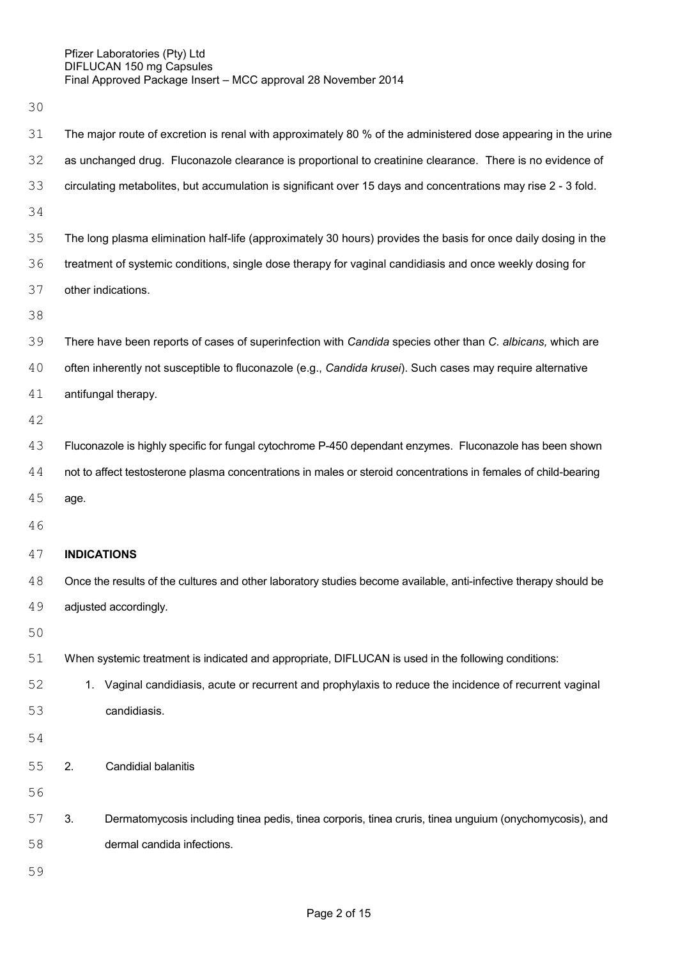| 31 |                                                                                                                | The major route of excretion is renal with approximately 80 % of the administered dose appearing in the urine    |  |  |  |
|----|----------------------------------------------------------------------------------------------------------------|------------------------------------------------------------------------------------------------------------------|--|--|--|
| 32 |                                                                                                                | as unchanged drug. Fluconazole clearance is proportional to creatinine clearance. There is no evidence of        |  |  |  |
| 33 | circulating metabolites, but accumulation is significant over 15 days and concentrations may rise 2 - 3 fold.  |                                                                                                                  |  |  |  |
| 34 |                                                                                                                |                                                                                                                  |  |  |  |
| 35 | The long plasma elimination half-life (approximately 30 hours) provides the basis for once daily dosing in the |                                                                                                                  |  |  |  |
| 36 | treatment of systemic conditions, single dose therapy for vaginal candidiasis and once weekly dosing for       |                                                                                                                  |  |  |  |
| 37 | other indications.                                                                                             |                                                                                                                  |  |  |  |
| 38 |                                                                                                                |                                                                                                                  |  |  |  |
| 39 | There have been reports of cases of superinfection with Candida species other than C. albicans, which are      |                                                                                                                  |  |  |  |
| 40 | often inherently not susceptible to fluconazole (e.g., Candida krusei). Such cases may require alternative     |                                                                                                                  |  |  |  |
| 41 | antifungal therapy.                                                                                            |                                                                                                                  |  |  |  |
| 42 |                                                                                                                |                                                                                                                  |  |  |  |
| 43 | Fluconazole is highly specific for fungal cytochrome P-450 dependant enzymes. Fluconazole has been shown       |                                                                                                                  |  |  |  |
| 44 |                                                                                                                | not to affect testosterone plasma concentrations in males or steroid concentrations in females of child-bearing  |  |  |  |
| 45 | age.                                                                                                           |                                                                                                                  |  |  |  |
| 46 |                                                                                                                |                                                                                                                  |  |  |  |
| 47 | <b>INDICATIONS</b>                                                                                             |                                                                                                                  |  |  |  |
| 48 |                                                                                                                | Once the results of the cultures and other laboratory studies become available, anti-infective therapy should be |  |  |  |
| 49 | adjusted accordingly.                                                                                          |                                                                                                                  |  |  |  |
| 50 |                                                                                                                |                                                                                                                  |  |  |  |
| 51 | When systemic treatment is indicated and appropriate, DIFLUCAN is used in the following conditions:            |                                                                                                                  |  |  |  |
| 52 |                                                                                                                | 1. Vaginal candidiasis, acute or recurrent and prophylaxis to reduce the incidence of recurrent vaginal          |  |  |  |
| 53 |                                                                                                                | candidiasis.                                                                                                     |  |  |  |
| 54 |                                                                                                                |                                                                                                                  |  |  |  |
| 55 | 2.                                                                                                             | <b>Candidial balanitis</b>                                                                                       |  |  |  |
| 56 |                                                                                                                |                                                                                                                  |  |  |  |
| 57 | 3.                                                                                                             | Dermatomycosis including tinea pedis, tinea corporis, tinea cruris, tinea unguium (onychomycosis), and           |  |  |  |
| 58 |                                                                                                                | dermal candida infections.                                                                                       |  |  |  |
| 59 |                                                                                                                |                                                                                                                  |  |  |  |
|    |                                                                                                                |                                                                                                                  |  |  |  |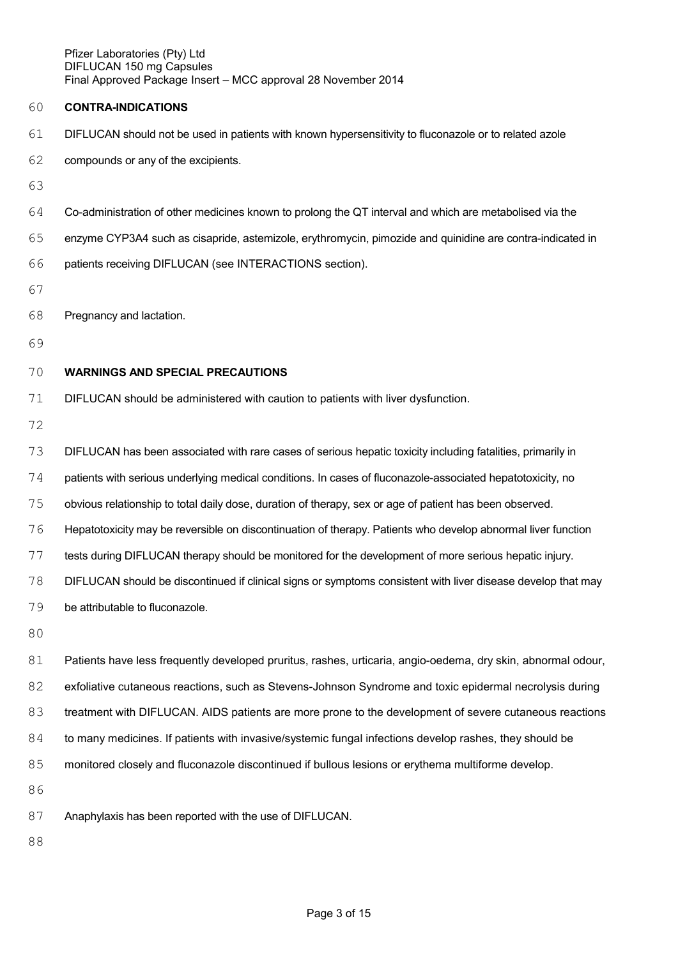#### **CONTRA-INDICATIONS**

- DIFLUCAN should not be used in patients with known hypersensitivity to fluconazole or to related azole
- compounds or any of the excipients.
- 
- Co-administration of other medicines known to prolong the QT interval and which are metabolised via the
- enzyme CYP3A4 such as cisapride, astemizole, erythromycin, pimozide and quinidine are contra-indicated in

patients receiving DIFLUCAN (see INTERACTIONS section).

- 
- Pregnancy and lactation.
- 

#### **WARNINGS AND SPECIAL PRECAUTIONS**

DIFLUCAN should be administered with caution to patients with liver dysfunction.

DIFLUCAN has been associated with rare cases of serious hepatic toxicity including fatalities, primarily in

74 patients with serious underlying medical conditions. In cases of fluconazole-associated hepatotoxicity, no

obvious relationship to total daily dose, duration of therapy, sex or age of patient has been observed.

Hepatotoxicity may be reversible on discontinuation of therapy. Patients who develop abnormal liver function

tests during DIFLUCAN therapy should be monitored for the development of more serious hepatic injury.

DIFLUCAN should be discontinued if clinical signs or symptoms consistent with liver disease develop that may

be attributable to fluconazole.

 Patients have less frequently developed pruritus, rashes, urticaria, angio-oedema, dry skin, abnormal odour, exfoliative cutaneous reactions, such as Stevens-Johnson Syndrome and toxic epidermal necrolysis during treatment with DIFLUCAN. AIDS patients are more prone to the development of severe cutaneous reactions 84 to many medicines. If patients with invasive/systemic fungal infections develop rashes, they should be 85 monitored closely and fluconazole discontinued if bullous lesions or erythema multiforme develop. 

Anaphylaxis has been reported with the use of DIFLUCAN.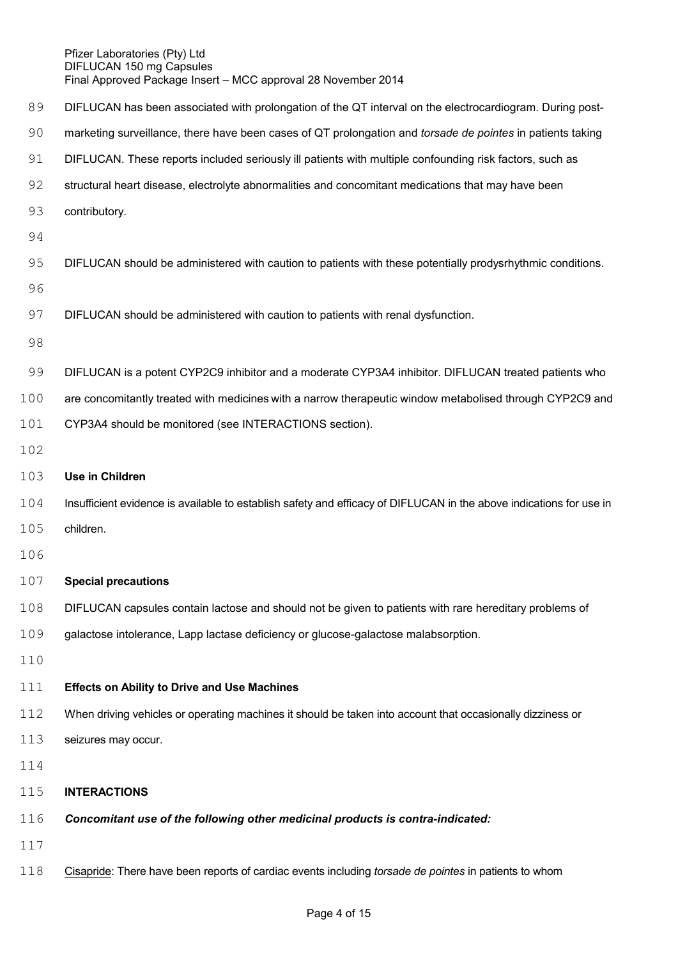| 89  | DIFLUCAN has been associated with prolongation of the QT interval on the electrocardiogram. During post-            |  |  |
|-----|---------------------------------------------------------------------------------------------------------------------|--|--|
| 90  | marketing surveillance, there have been cases of QT prolongation and torsade de pointes in patients taking          |  |  |
| 91  | DIFLUCAN. These reports included seriously ill patients with multiple confounding risk factors, such as             |  |  |
| 92  | structural heart disease, electrolyte abnormalities and concomitant medications that may have been                  |  |  |
| 93  | contributory.                                                                                                       |  |  |
| 94  |                                                                                                                     |  |  |
| 95  | DIFLUCAN should be administered with caution to patients with these potentially prodysrhythmic conditions.          |  |  |
| 96  |                                                                                                                     |  |  |
| 97  | DIFLUCAN should be administered with caution to patients with renal dysfunction.                                    |  |  |
| 98  |                                                                                                                     |  |  |
| 99  | DIFLUCAN is a potent CYP2C9 inhibitor and a moderate CYP3A4 inhibitor. DIFLUCAN treated patients who                |  |  |
| 100 | are concomitantly treated with medicines with a narrow therapeutic window metabolised through CYP2C9 and            |  |  |
| 101 | CYP3A4 should be monitored (see INTERACTIONS section).                                                              |  |  |
| 102 |                                                                                                                     |  |  |
| 103 | Use in Children                                                                                                     |  |  |
| 104 | Insufficient evidence is available to establish safety and efficacy of DIFLUCAN in the above indications for use in |  |  |
| 105 | children.                                                                                                           |  |  |
| 106 |                                                                                                                     |  |  |
| 107 | <b>Special precautions</b>                                                                                          |  |  |
| 108 | DIFLUCAN capsules contain lactose and should not be given to patients with rare hereditary problems of              |  |  |
| 109 | galactose intolerance, Lapp lactase deficiency or glucose-galactose malabsorption.                                  |  |  |
| 110 |                                                                                                                     |  |  |
| 111 | <b>Effects on Ability to Drive and Use Machines</b>                                                                 |  |  |
| 112 | When driving vehicles or operating machines it should be taken into account that occasionally dizziness or          |  |  |
| 113 | seizures may occur.                                                                                                 |  |  |
| 114 |                                                                                                                     |  |  |
| 115 | <b>INTERACTIONS</b>                                                                                                 |  |  |
| 116 | Concomitant use of the following other medicinal products is contra-indicated:                                      |  |  |
| 117 |                                                                                                                     |  |  |
| 118 | Cisapride: There have been reports of cardiac events including torsade de pointes in patients to whom               |  |  |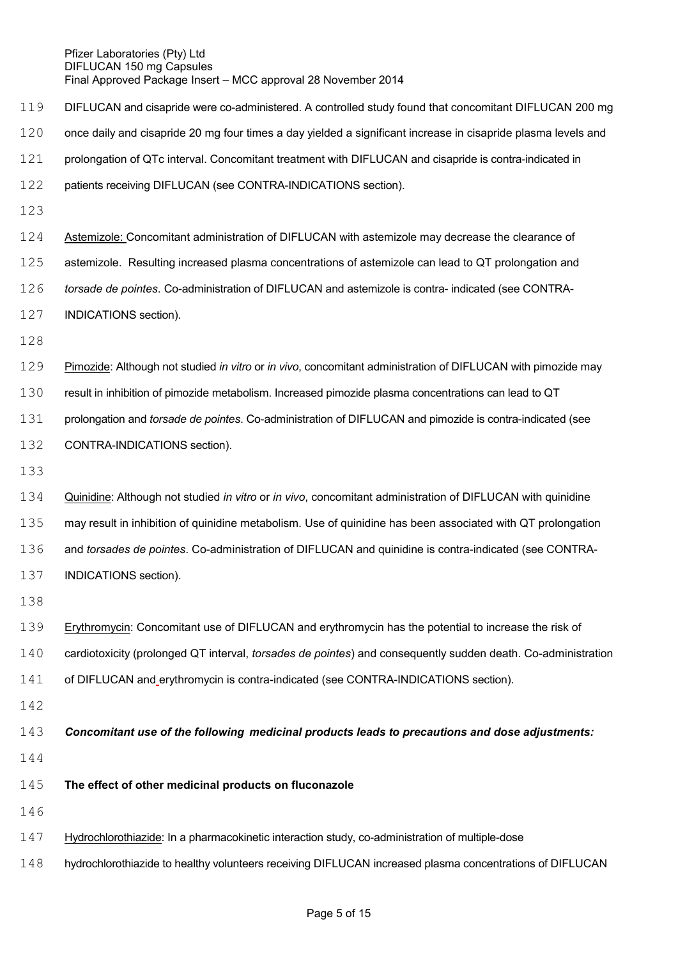DIFLUCAN and cisapride were co-administered. A controlled study found that concomitant DIFLUCAN 200 mg once daily and cisapride 20 mg four times a day yielded a significant increase in cisapride plasma levels and prolongation of QTc interval. Concomitant treatment with DIFLUCAN and cisapride is contra-indicated in patients receiving DIFLUCAN (see CONTRA-INDICATIONS section). Astemizole: Concomitant administration of DIFLUCAN with astemizole may decrease the clearance of astemizole. Resulting increased plasma concentrations of astemizole can lead to QT prolongation and *torsade de pointes*. Co-administration of DIFLUCAN and astemizole is contra- indicated (see CONTRA- INDICATIONS section). Pimozide: Although not studied *in vitro* or *in vivo*, concomitant administration of DIFLUCAN with pimozide may result in inhibition of pimozide metabolism. Increased pimozide plasma concentrations can lead to QT prolongation and *torsade de pointes*. Co-administration of DIFLUCAN and pimozide is contra-indicated (see CONTRA-INDICATIONS section). Quinidine: Although not studied *in vitro* or *in vivo*, concomitant administration of DIFLUCAN with quinidine may result in inhibition of quinidine metabolism. Use of quinidine has been associated with QT prolongation and *torsades de pointes*. Co-administration of DIFLUCAN and quinidine is contra-indicated (see CONTRA- INDICATIONS section). 139 Erythromycin: Concomitant use of DIFLUCAN and erythromycin has the potential to increase the risk of cardiotoxicity (prolonged QT interval, *torsades de pointes*) and consequently sudden death. Co-administration of DIFLUCAN and erythromycin is contra-indicated (see CONTRA-INDICATIONS section). *Concomitant use of the following medicinal products leads to precautions and dose adjustments:* **The effect of other medicinal products on fluconazole** Hydrochlorothiazide: In a pharmacokinetic interaction study, co-administration of multiple-dose hydrochlorothiazide to healthy volunteers receiving DIFLUCAN increased plasma concentrations of DIFLUCAN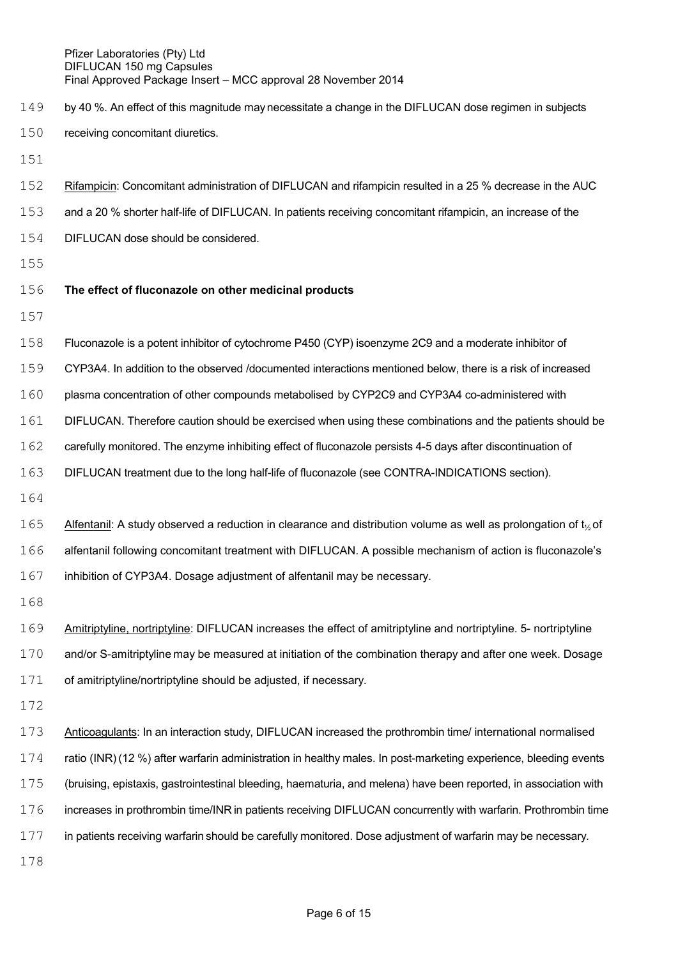- 149 by 40 %. An effect of this magnitude may necessitate a change in the DIFLUCAN dose regimen in subjects receiving concomitant diuretics.
- 
- Rifampicin: Concomitant administration of DIFLUCAN and rifampicin resulted in a 25 % decrease in the AUC
- and a 20 % shorter half-life of DIFLUCAN. In patients receiving concomitant rifampicin, an increase of the
- DIFLUCAN dose should be considered.
- 

# **The effect of fluconazole on other medicinal products**

- 
- Fluconazole is a potent inhibitor of cytochrome P450 (CYP) isoenzyme 2C9 and a moderate inhibitor of
- CYP3A4. In addition to the observed /documented interactions mentioned below, there is a risk of increased
- plasma concentration of other compounds metabolised by CYP2C9 and CYP3A4 co-administered with
- DIFLUCAN. Therefore caution should be exercised when using these combinations and the patients should be
- carefully monitored. The enzyme inhibiting effect of fluconazole persists 4-5 days after discontinuation of
- DIFLUCAN treatment due to the long half-life of fluconazole (see CONTRA-INDICATIONS section).
- 
- 165 Alfentanil: A study observed a reduction in clearance and distribution volume as well as prolongation of  $t_{\gamma}$  of alfentanil following concomitant treatment with DIFLUCAN. A possible mechanism of action is fluconazole's inhibition of CYP3A4. Dosage adjustment of alfentanil may be necessary.
- 
- Amitriptyline, nortriptyline: DIFLUCAN increases the effect of amitriptyline and nortriptyline. 5- nortriptyline and/or S-amitriptyline may be measured at initiation of the combination therapy and after one week. Dosage of amitriptyline/nortriptyline should be adjusted, if necessary.
- 

 Anticoagulants: In an interaction study, DIFLUCAN increased the prothrombin time/ international normalised ratio (INR) (12 %) after warfarin administration in healthy males. In post-marketing experience, bleeding events (bruising, epistaxis, gastrointestinal bleeding, haematuria, and melena) have been reported, in association with increases in prothrombin time/INR in patients receiving DIFLUCAN concurrently with warfarin. Prothrombin time in patients receiving warfarin should be carefully monitored. Dose adjustment of warfarin may be necessary.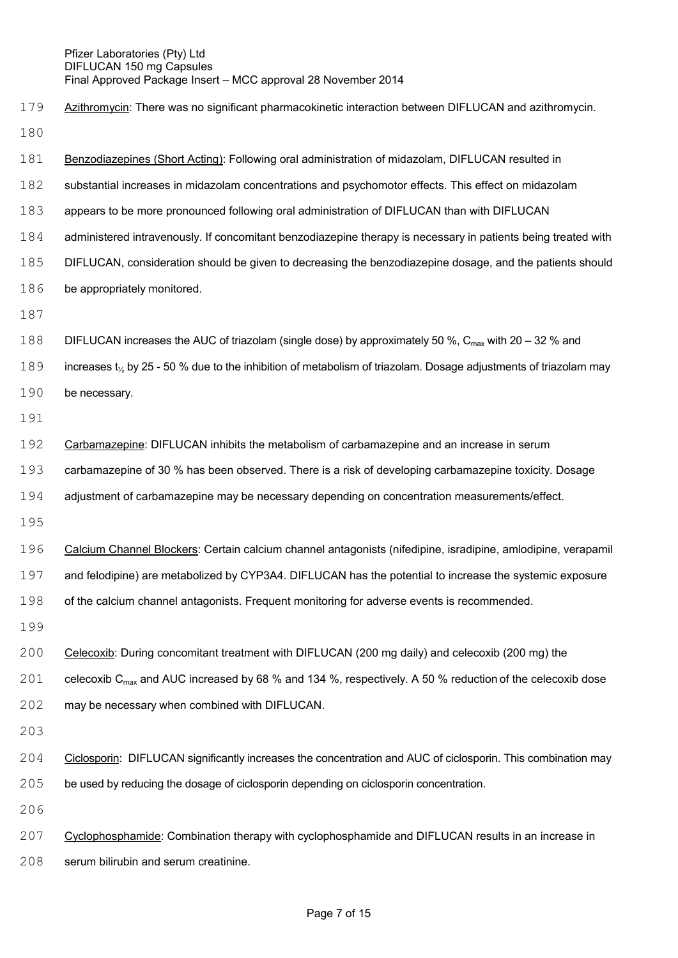Azithromycin: There was no significant pharmacokinetic interaction between DIFLUCAN and azithromycin. Benzodiazepines (Short Acting): Following oral administration of midazolam, DIFLUCAN resulted in substantial increases in midazolam concentrations and psychomotor effects. This effect on midazolam appears to be more pronounced following oral administration of DIFLUCAN than with DIFLUCAN administered intravenously. If concomitant benzodiazepine therapy is necessary in patients being treated with DIFLUCAN, consideration should be given to decreasing the benzodiazepine dosage, and the patients should 186 be appropriately monitored. 188 DIFLUCAN increases the AUC of triazolam (single dose) by approximately 50 %,  $C_{\text{max}}$  with 20 – 32 % and 189 increases t<sub>1/2</sub> by 25 - 50 % due to the inhibition of metabolism of triazolam. Dosage adjustments of triazolam may 190 be necessary. Carbamazepine: DIFLUCAN inhibits the metabolism of carbamazepine and an increase in serum carbamazepine of 30 % has been observed. There is a risk of developing carbamazepine toxicity. Dosage adjustment of carbamazepine may be necessary depending on concentration measurements/effect. Calcium Channel Blockers: Certain calcium channel antagonists (nifedipine, isradipine, amlodipine, verapamil and felodipine) are metabolized by CYP3A4. DIFLUCAN has the potential to increase the systemic exposure of the calcium channel antagonists. Frequent monitoring for adverse events is recommended. Celecoxib: During concomitant treatment with DIFLUCAN (200 mg daily) and celecoxib (200 mg) the 201 celecoxib C<sub>max</sub> and AUC increased by 68 % and 134 %, respectively. A 50 % reduction of the celecoxib dose may be necessary when combined with DIFLUCAN. Ciclosporin: DIFLUCAN significantly increases the concentration and AUC of ciclosporin. This combination may be used by reducing the dosage of ciclosporin depending on ciclosporin concentration. Cyclophosphamide: Combination therapy with cyclophosphamide and DIFLUCAN results in an increase in serum bilirubin and serum creatinine.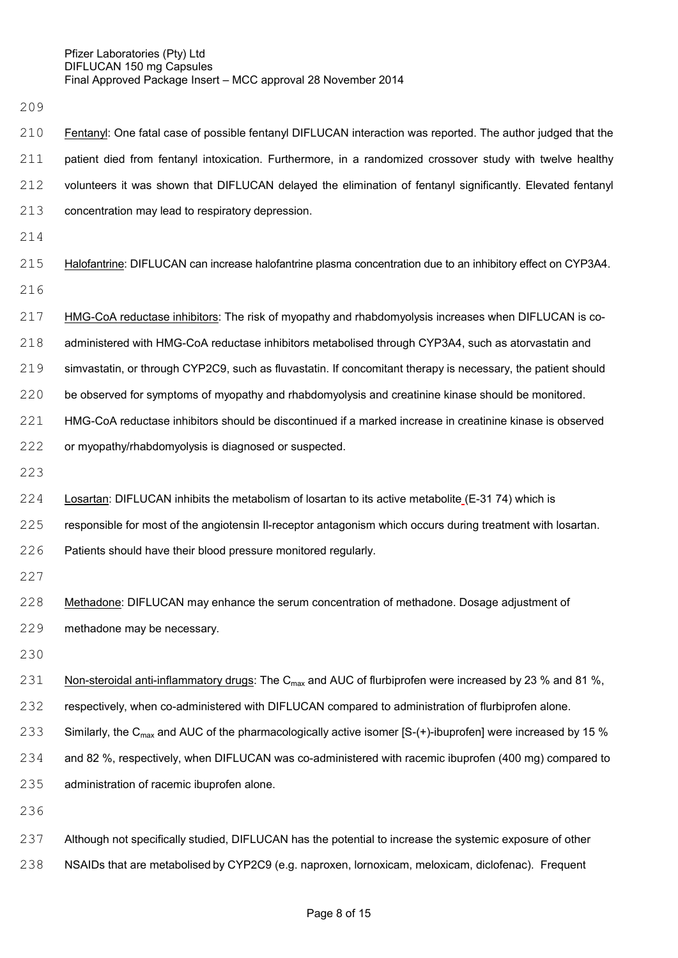Fentanyl: One fatal case of possible fentanyl DIFLUCAN interaction was reported. The author judged that the patient died from fentanyl intoxication. Furthermore, in a randomized crossover study with twelve healthy volunteers it was shown that DIFLUCAN delayed the elimination of fentanyl significantly. Elevated fentanyl concentration may lead to respiratory depression. Halofantrine: DIFLUCAN can increase halofantrine plasma concentration due to an inhibitory effect on CYP3A4.

HMG-CoA reductase inhibitors: The risk of myopathy and rhabdomyolysis increases when DIFLUCAN is co-

administered with HMG-CoA reductase inhibitors metabolised through CYP3A4, such as atorvastatin and

simvastatin, or through CYP2C9, such as fluvastatin. If concomitant therapy is necessary, the patient should

be observed for symptoms of myopathy and rhabdomyolysis and creatinine kinase should be monitored.

HMG-CoA reductase inhibitors should be discontinued if a marked increase in creatinine kinase is observed

222 or myopathy/rhabdomyolysis is diagnosed or suspected.

Losartan: DIFLUCAN inhibits the metabolism of losartan to its active metabolite (E-31 74) which is

responsible for most of the angiotensin Il-receptor antagonism which occurs during treatment with losartan.

Patients should have their blood pressure monitored regularly.

228 Methadone: DIFLUCAN may enhance the serum concentration of methadone. Dosage adjustment of methadone may be necessary.

231 Non-steroidal anti-inflammatory drugs: The C<sub>max</sub> and AUC of flurbiprofen were increased by 23 % and 81 %.

respectively, when co-administered with DIFLUCAN compared to administration of flurbiprofen alone.

233 Similarly, the C<sub>max</sub> and AUC of the pharmacologically active isomer [S-(+)-ibuprofen] were increased by 15 %

and 82 %, respectively, when DIFLUCAN was co-administered with racemic ibuprofen (400 mg) compared to

administration of racemic ibuprofen alone.

 Although not specifically studied, DIFLUCAN has the potential to increase the systemic exposure of other NSAIDs that are metabolised by CYP2C9 (e.g. naproxen, lornoxicam, meloxicam, diclofenac). Frequent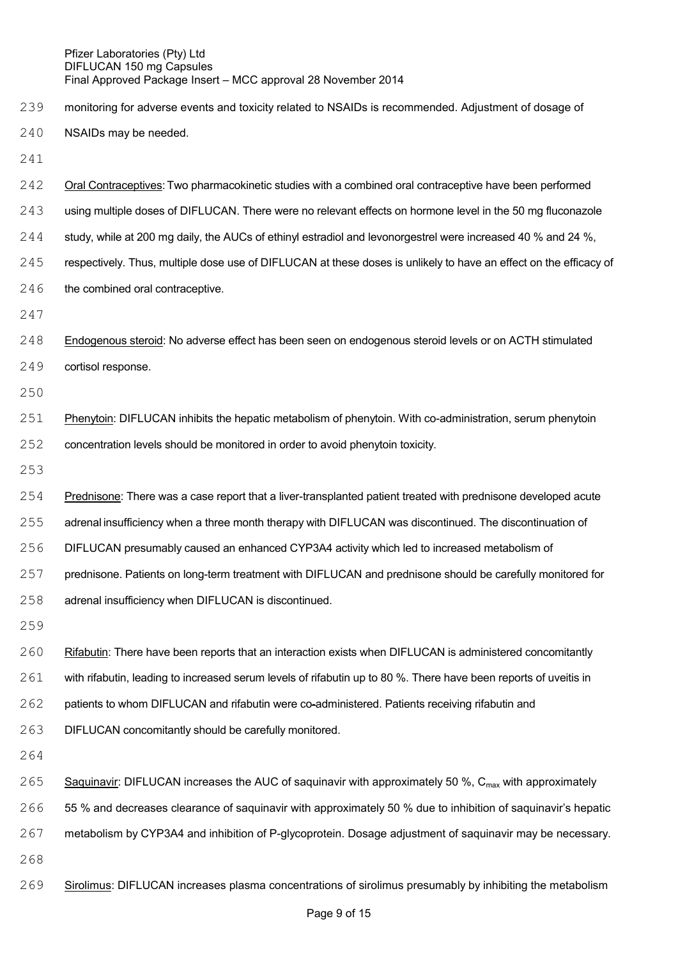- monitoring for adverse events and toxicity related to NSAIDs is recommended. Adjustment of dosage of
- NSAIDs may be needed.
- 
- Oral Contraceptives: Two pharmacokinetic studies with a combined oral contraceptive have been performed using multiple doses of DIFLUCAN. There were no relevant effects on hormone level in the 50 mg fluconazole study, while at 200 mg daily, the AUCs of ethinyl estradiol and levonorgestrel were increased 40 % and 24 %. respectively. Thus, multiple dose use of DIFLUCAN at these doses is unlikely to have an effect on the efficacy of 246 the combined oral contraceptive.
- 
- Endogenous steroid: No adverse effect has been seen on endogenous steroid levels or on ACTH stimulated cortisol response.
- 
- Phenytoin: DIFLUCAN inhibits the hepatic metabolism of phenytoin. With co-administration, serum phenytoin concentration levels should be monitored in order to avoid phenytoin toxicity.
- 
- Prednisone: There was a case report that a liver-transplanted patient treated with prednisone developed acute adrenal insufficiency when a three month therapy with DIFLUCAN was discontinued. The discontinuation of DIFLUCAN presumably caused an enhanced CYP3A4 activity which led to increased metabolism of prednisone. Patients on long-term treatment with DIFLUCAN and prednisone should be carefully monitored for
- adrenal insufficiency when DIFLUCAN is discontinued.
- 
- Rifabutin: There have been reports that an interaction exists when DIFLUCAN is administered concomitantly
- with rifabutin, leading to increased serum levels of rifabutin up to 80 %. There have been reports of uveitis in
- patients to whom DIFLUCAN and rifabutin were co-administered. Patients receiving rifabutin and
- DIFLUCAN concomitantly should be carefully monitored.
- 
- 265 Saquinavir: DIFLUCAN increases the AUC of saquinavir with approximately 50 %,  $C_{\text{max}}$  with approximately 55 % and decreases clearance of saquinavir with approximately 50 % due to inhibition of saquinavir's hepatic metabolism by CYP3A4 and inhibition of P-glycoprotein. Dosage adjustment of saquinavir may be necessary.
- Sirolimus: DIFLUCAN increases plasma concentrations of sirolimus presumably by inhibiting the metabolism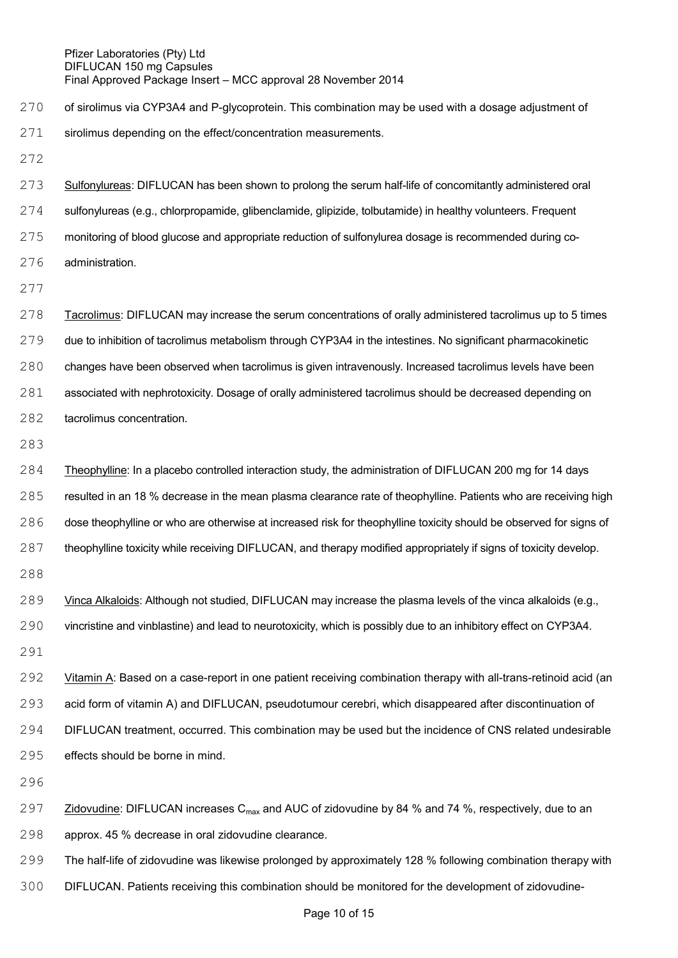270 of sirolimus via CYP3A4 and P-glycoprotein. This combination may be used with a dosage adjustment of 271 sirolimus depending on the effect/concentration measurements.

 Sulfonylureas: DIFLUCAN has been shown to prolong the serum half-life of concomitantly administered oral sulfonylureas (e.g., chlorpropamide, glibenclamide, glipizide, tolbutamide) in healthy volunteers. Frequent monitoring of blood glucose and appropriate reduction of sulfonylurea dosage is recommended during co-administration.

 Tacrolimus: DIFLUCAN may increase the serum concentrations of orally administered tacrolimus up to 5 times due to inhibition of tacrolimus metabolism through CYP3A4 in the intestines. No significant pharmacokinetic changes have been observed when tacrolimus is given intravenously. Increased tacrolimus levels have been associated with nephrotoxicity. Dosage of orally administered tacrolimus should be decreased depending on tacrolimus concentration.

 Theophylline: In a placebo controlled interaction study, the administration of DIFLUCAN 200 mg for 14 days resulted in an 18 % decrease in the mean plasma clearance rate of theophylline. Patients who are receiving high dose theophylline or who are otherwise at increased risk for theophylline toxicity should be observed for signs of 287 theophylline toxicity while receiving DIFLUCAN, and therapy modified appropriately if signs of toxicity develop.

 Vinca Alkaloids: Although not studied, DIFLUCAN may increase the plasma levels of the vinca alkaloids (e.g., vincristine and vinblastine) and lead to neurotoxicity, which is possibly due to an inhibitory effect on CYP3A4.

292 Vitamin A: Based on a case-report in one patient receiving combination therapy with all-trans-retinoid acid (an acid form of vitamin A) and DIFLUCAN, pseudotumour cerebri, which disappeared after discontinuation of DIFLUCAN treatment, occurred. This combination may be used but the incidence of CNS related undesirable effects should be borne in mind.

297 Zidovudine: DIFLUCAN increases  $C_{\text{max}}$  and AUC of zidovudine by 84 % and 74 %, respectively, due to an approx. 45 % decrease in oral zidovudine clearance.

The half-life of zidovudine was likewise prolonged by approximately 128 % following combination therapy with

DIFLUCAN. Patients receiving this combination should be monitored for the development of zidovudine-

## Page 10 of 15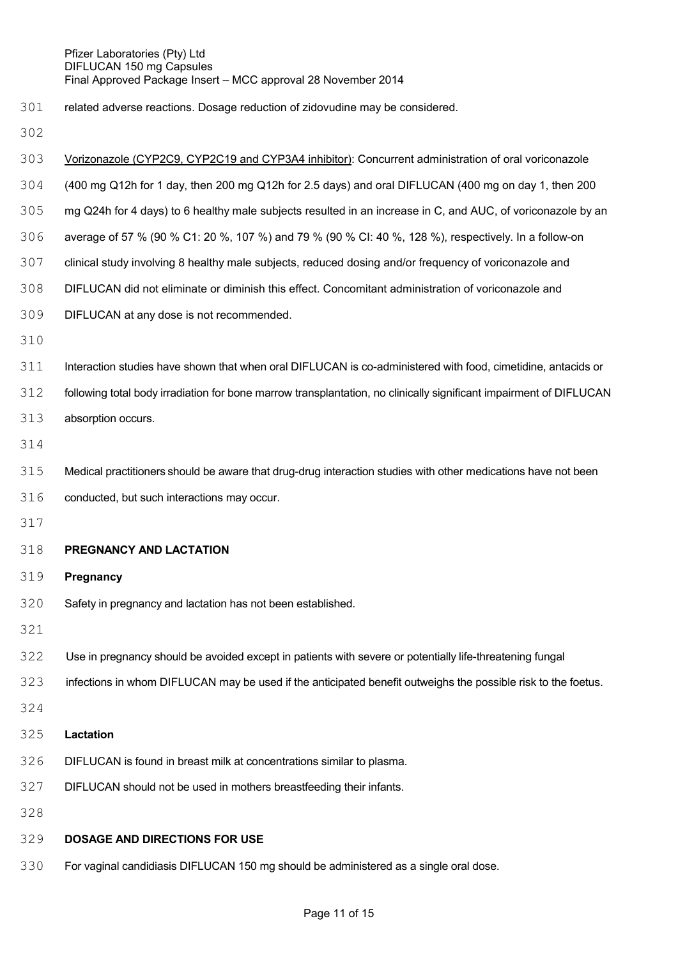related adverse reactions. Dosage reduction of zidovudine may be considered.

- Vorizonazole (CYP2C9, CYP2C19 and CYP3A4 inhibitor): Concurrent administration of oral voriconazole (400 mg Q12h for 1 day, then 200 mg Q12h for 2.5 days) and oral DIFLUCAN (400 mg on day 1, then 200 mg Q24h for 4 days) to 6 healthy male subjects resulted in an increase in C, and AUC, of voriconazole by an average of 57 % (90 % C1: 20 %, 107 %) and 79 % (90 % CI: 40 %, 128 %), respectively. In a follow-on clinical study involving 8 healthy male subjects, reduced dosing and/or frequency of voriconazole and DIFLUCAN did not eliminate or diminish this effect. Concomitant administration of voriconazole and DIFLUCAN at any dose is not recommended. Interaction studies have shown that when oral DIFLUCAN is co-administered with food, cimetidine, antacids or following total body irradiation for bone marrow transplantation, no clinically significant impairment of DIFLUCAN absorption occurs. Medical practitioners should be aware that drug-drug interaction studies with other medications have not been conducted, but such interactions may occur. **PREGNANCY AND LACTATION Pregnancy** Safety in pregnancy and lactation has not been established. Use in pregnancy should be avoided except in patients with severe or potentially life-threatening fungal infections in whom DIFLUCAN may be used if the anticipated benefit outweighs the possible risk to the foetus. **Lactation** DIFLUCAN is found in breast milk at concentrations similar to plasma. DIFLUCAN should not be used in mothers breastfeeding their infants. **DOSAGE AND DIRECTIONS FOR USE**
- For vaginal candidiasis DIFLUCAN 150 mg should be administered as a single oral dose.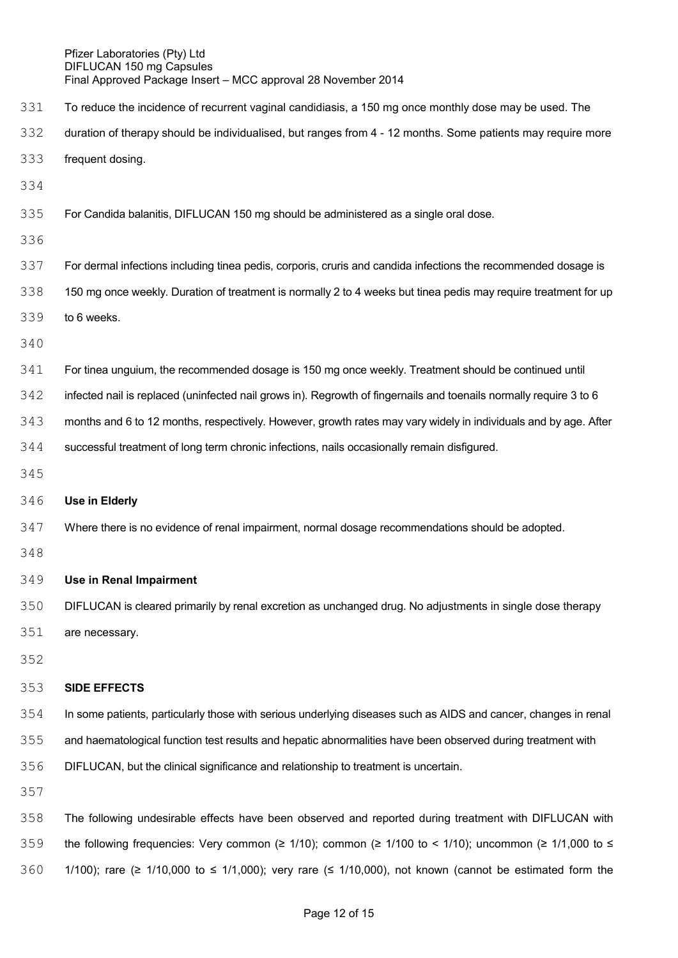- To reduce the incidence of recurrent vaginal candidiasis, a 150 mg once monthly dose may be used. The
- duration of therapy should be individualised, but ranges from 4 12 months. Some patients may require more
- frequent dosing.
- 
- For Candida balanitis, DIFLUCAN 150 mg should be administered as a single oral dose.
- 
- For dermal infections including tinea pedis, corporis, cruris and candida infections the recommended dosage is
- 338 150 mg once weekly. Duration of treatment is normally 2 to 4 weeks but tinea pedis may require treatment for up
- to 6 weeks.
- 
- For tinea unguium, the recommended dosage is 150 mg once weekly. Treatment should be continued until
- infected nail is replaced (uninfected nail grows in). Regrowth of fingernails and toenails normally require 3 to 6
- months and 6 to 12 months, respectively. However, growth rates may vary widely in individuals and by age. After
- successful treatment of long term chronic infections, nails occasionally remain disfigured.
- 

### **Use in Elderly**

- Where there is no evidence of renal impairment, normal dosage recommendations should be adopted.
- 

# **Use in Renal Impairment**

- DIFLUCAN is cleared primarily by renal excretion as unchanged drug. No adjustments in single dose therapy are necessary.
- 
- 

### **SIDE EFFECTS**

- In some patients, particularly those with serious underlying diseases such as AIDS and cancer, changes in renal
- and haematological function test results and hepatic abnormalities have been observed during treatment with
- DIFLUCAN, but the clinical significance and relationship to treatment is uncertain.
- 
- The following undesirable effects have been observed and reported during treatment with DIFLUCAN with 359 the following frequencies: Very common (≥ 1/10); common (≥ 1/100 to < 1/10); uncommon (≥ 1/1,000 to  $\leq$ 1/100); rare (≥ 1/10,000 to ≤ 1/1,000); very rare (≤ 1/10,000), not known (cannot be estimated form the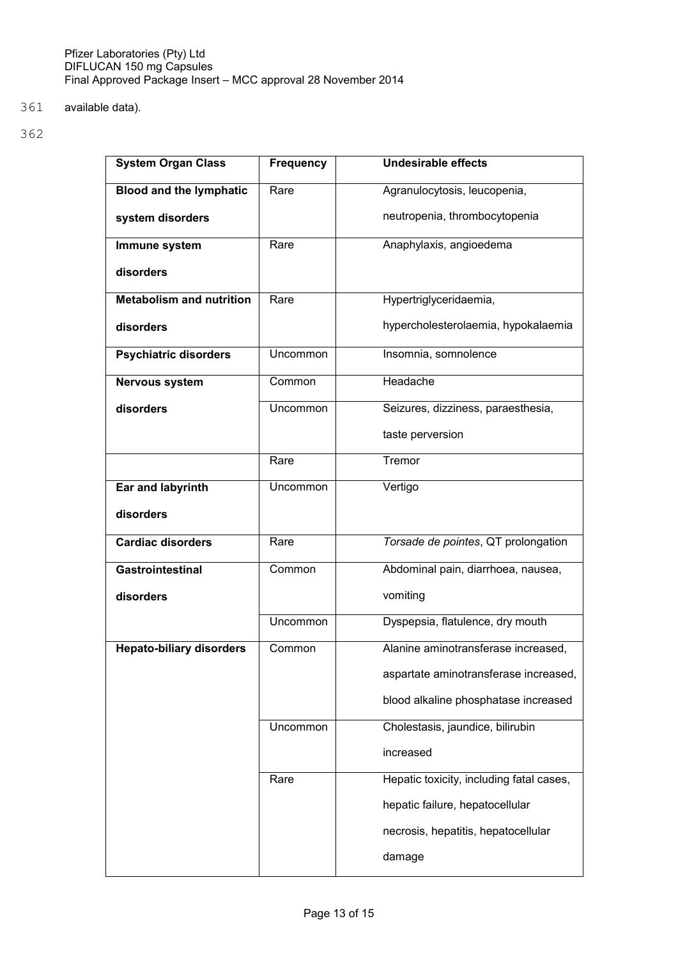361 available data).

| <b>System Organ Class</b>       | <b>Frequency</b> | <b>Undesirable effects</b>               |
|---------------------------------|------------------|------------------------------------------|
| <b>Blood and the lymphatic</b>  | Rare             | Agranulocytosis, leucopenia,             |
| system disorders                |                  | neutropenia, thrombocytopenia            |
| Immune system                   | Rare             | Anaphylaxis, angioedema                  |
| disorders                       |                  |                                          |
| <b>Metabolism and nutrition</b> | Rare             | Hypertriglyceridaemia,                   |
| disorders                       |                  | hypercholesterolaemia, hypokalaemia      |
| <b>Psychiatric disorders</b>    | <b>Uncommon</b>  | Insomnia, somnolence                     |
| <b>Nervous system</b>           | Common           | Headache                                 |
| disorders                       | <b>Uncommon</b>  | Seizures, dizziness, paraesthesia,       |
|                                 |                  | taste perversion                         |
|                                 | Rare             | Tremor                                   |
| Ear and labyrinth               | Uncommon         | Vertigo                                  |
| disorders                       |                  |                                          |
| <b>Cardiac disorders</b>        | Rare             | Torsade de pointes, QT prolongation      |
| <b>Gastrointestinal</b>         | Common           | Abdominal pain, diarrhoea, nausea,       |
| disorders                       |                  | vomiting                                 |
|                                 | <b>Uncommon</b>  | Dyspepsia, flatulence, dry mouth         |
| <b>Hepato-biliary disorders</b> | Common           | Alanine aminotransferase increased,      |
|                                 |                  | aspartate aminotransferase increased,    |
|                                 |                  | blood alkaline phosphatase increased     |
|                                 | Uncommon         | Cholestasis, jaundice, bilirubin         |
|                                 |                  | increased                                |
|                                 | Rare             | Hepatic toxicity, including fatal cases, |
|                                 |                  | hepatic failure, hepatocellular          |
|                                 |                  | necrosis, hepatitis, hepatocellular      |
|                                 |                  | damage                                   |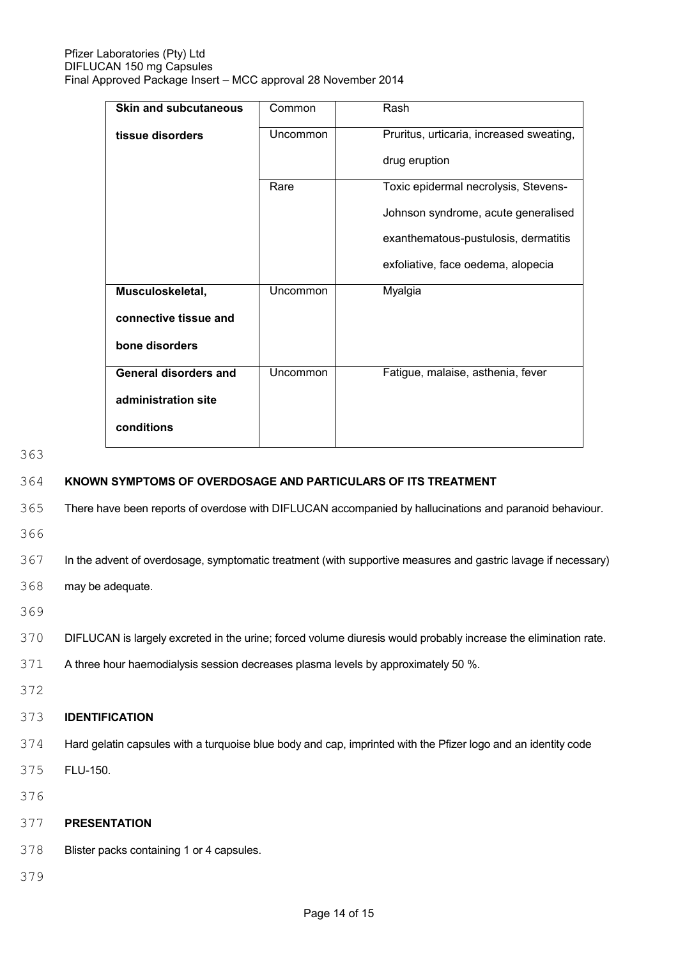| <b>Skin and subcutaneous</b> | Common   | Rash                                                      |
|------------------------------|----------|-----------------------------------------------------------|
| tissue disorders             | Uncommon | Pruritus, urticaria, increased sweating,<br>drug eruption |
|                              |          |                                                           |
|                              | Rare     | Toxic epidermal necrolysis, Stevens-                      |
|                              |          | Johnson syndrome, acute generalised                       |
|                              |          | exanthematous-pustulosis, dermatitis                      |
|                              |          | exfoliative, face oedema, alopecia                        |
| Musculoskeletal,             | Uncommon | Myalgia                                                   |
| connective tissue and        |          |                                                           |
| bone disorders               |          |                                                           |
| <b>General disorders and</b> | Uncommon | Fatigue, malaise, asthenia, fever                         |
| administration site          |          |                                                           |
| conditions                   |          |                                                           |

363

# 364 **KNOWN SYMPTOMS OF OVERDOSAGE AND PARTICULARS OF ITS TREATMENT**

365 There have been reports of overdose with DIFLUCAN accompanied by hallucinations and paranoid behaviour.

366

367 In the advent of overdosage, symptomatic treatment (with supportive measures and gastric lavage if necessary)

368 may be adequate.

369

#### 370 DIFLUCAN is largely excreted in the urine; forced volume diuresis would probably increase the elimination rate.

- 371 A three hour haemodialysis session decreases plasma levels by approximately 50 %.
- 372

# 373 **IDENTIFICATION**

- 374 Hard gelatin capsules with a turquoise blue body and cap, imprinted with the Pfizer logo and an identity code
- 375 FLU-150.
- 376

#### 377 **PRESENTATION**

- 378 Blister packs containing 1 or 4 capsules.
- 379